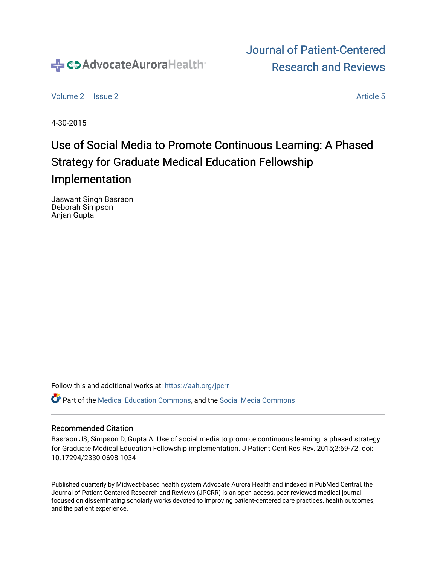

## [Journal of Patient-Centered](https://institutionalrepository.aah.org/jpcrr)  [Research and Reviews](https://institutionalrepository.aah.org/jpcrr)

[Volume 2](https://institutionalrepository.aah.org/jpcrr/vol2) | [Issue 2](https://institutionalrepository.aah.org/jpcrr/vol2/iss2) Article 5

4-30-2015

# Use of Social Media to Promote Continuous Learning: A Phased Strategy for Graduate Medical Education Fellowship Implementation

Jaswant Singh Basraon Deborah Simpson Anjan Gupta

Follow this and additional works at: [https://aah.org/jpcrr](https://institutionalrepository.aah.org/jpcrr?utm_source=institutionalrepository.aah.org%2Fjpcrr%2Fvol2%2Fiss2%2F5&utm_medium=PDF&utm_campaign=PDFCoverPages) 

Part of the [Medical Education Commons,](http://network.bepress.com/hgg/discipline/1125?utm_source=institutionalrepository.aah.org%2Fjpcrr%2Fvol2%2Fiss2%2F5&utm_medium=PDF&utm_campaign=PDFCoverPages) and the [Social Media Commons](http://network.bepress.com/hgg/discipline/1249?utm_source=institutionalrepository.aah.org%2Fjpcrr%2Fvol2%2Fiss2%2F5&utm_medium=PDF&utm_campaign=PDFCoverPages) 

#### Recommended Citation

Basraon JS, Simpson D, Gupta A. Use of social media to promote continuous learning: a phased strategy for Graduate Medical Education Fellowship implementation. J Patient Cent Res Rev. 2015;2:69-72. doi: 10.17294/2330-0698.1034

Published quarterly by Midwest-based health system Advocate Aurora Health and indexed in PubMed Central, the Journal of Patient-Centered Research and Reviews (JPCRR) is an open access, peer-reviewed medical journal focused on disseminating scholarly works devoted to improving patient-centered care practices, health outcomes, and the patient experience.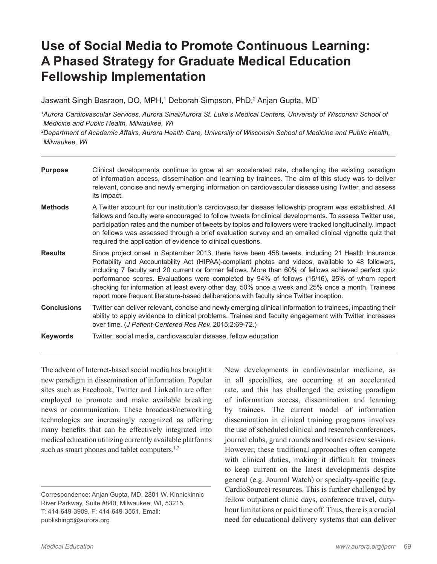## **Use of Social Media to Promote Continuous Learning: A Phased Strategy for Graduate Medical Education Fellowship Implementation**

Jaswant Singh Basraon, DO, MPH,<sup>1</sup> Deborah Simpson, PhD,<sup>2</sup> Anjan Gupta, MD<sup>1</sup>

*1 Aurora Cardiovascular Services, Aurora Sinai/Aurora St. Luke's Medical Centers, University of Wisconsin School of Medicine and Public Health, Milwaukee, WI*

*2 Department of Academic Affairs, Aurora Health Care, University of Wisconsin School of Medicine and Public Health, Milwaukee, WI*

| <b>Purpose</b>     | Clinical developments continue to grow at an accelerated rate, challenging the existing paradigm<br>of information access, dissemination and learning by trainees. The aim of this study was to deliver<br>relevant, concise and newly emerging information on cardiovascular disease using Twitter, and assess<br>its impact.                                                                                                                                                                                                                                                                                   |
|--------------------|------------------------------------------------------------------------------------------------------------------------------------------------------------------------------------------------------------------------------------------------------------------------------------------------------------------------------------------------------------------------------------------------------------------------------------------------------------------------------------------------------------------------------------------------------------------------------------------------------------------|
| <b>Methods</b>     | A Twitter account for our institution's cardiovascular disease fellowship program was established. All<br>fellows and faculty were encouraged to follow tweets for clinical developments. To assess Twitter use,<br>participation rates and the number of tweets by topics and followers were tracked longitudinally. Impact<br>on fellows was assessed through a brief evaluation survey and an emailed clinical vignette quiz that<br>required the application of evidence to clinical questions.                                                                                                              |
| <b>Results</b>     | Since project onset in September 2013, there have been 458 tweets, including 21 Health Insurance<br>Portability and Accountability Act (HIPAA)-compliant photos and videos, available to 48 followers,<br>including 7 faculty and 20 current or former fellows. More than 60% of fellows achieved perfect quiz<br>performance scores. Evaluations were completed by 94% of fellows (15/16), 25% of whom report<br>checking for information at least every other day, 50% once a week and 25% once a month. Trainees<br>report more frequent literature-based deliberations with faculty since Twitter inception. |
| <b>Conclusions</b> | Twitter can deliver relevant, concise and newly emerging clinical information to trainees, impacting their<br>ability to apply evidence to clinical problems. Trainee and faculty engagement with Twitter increases<br>over time. (J Patient-Centered Res Rev. 2015;2:69-72.)                                                                                                                                                                                                                                                                                                                                    |
| <b>Keywords</b>    | Twitter, social media, cardiovascular disease, fellow education                                                                                                                                                                                                                                                                                                                                                                                                                                                                                                                                                  |

The advent of Internet-based social media has brought a new paradigm in dissemination of information. Popular sites such as Facebook, Twitter and LinkedIn are often employed to promote and make available breaking news or communication. These broadcast/networking technologies are increasingly recognized as offering many benefits that can be effectively integrated into medical education utilizing currently available platforms such as smart phones and tablet computers.<sup>1,2</sup>

New developments in cardiovascular medicine, as in all specialties, are occurring at an accelerated rate, and this has challenged the existing paradigm of information access, dissemination and learning by trainees. The current model of information dissemination in clinical training programs involves the use of scheduled clinical and research conferences, journal clubs, grand rounds and board review sessions. However, these traditional approaches often compete with clinical duties, making it difficult for trainees to keep current on the latest developments despite general (e.g. Journal Watch) or specialty-specific (e.g. CardioSource) resources. This is further challenged by fellow outpatient clinic days, conference travel, dutyhour limitations or paid time off. Thus, there is a crucial need for educational delivery systems that can deliver

Correspondence: Anjan Gupta, MD, 2801 W. Kinnickinnic River Parkway, Suite #840, Milwaukee, WI, 53215, T: 414-649-3909, F: 414-649-3551, Email: publishing5@aurora.org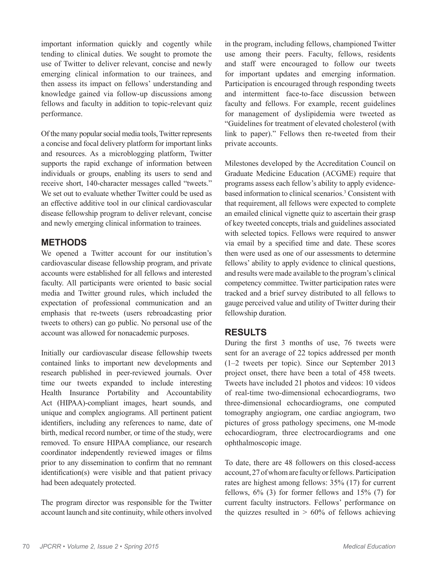important information quickly and cogently while tending to clinical duties. We sought to promote the use of Twitter to deliver relevant, concise and newly emerging clinical information to our trainees, and then assess its impact on fellows' understanding and knowledge gained via follow-up discussions among fellows and faculty in addition to topic-relevant quiz performance.

Of the many popular social media tools, Twitter represents a concise and focal delivery platform for important links and resources. As a microblogging platform, Twitter supports the rapid exchange of information between individuals or groups, enabling its users to send and receive short, 140-character messages called "tweets." We set out to evaluate whether Twitter could be used as an effective additive tool in our clinical cardiovascular disease fellowship program to deliver relevant, concise and newly emerging clinical information to trainees.

### **METHODS**

We opened a Twitter account for our institution's cardiovascular disease fellowship program, and private accounts were established for all fellows and interested faculty. All participants were oriented to basic social media and Twitter ground rules, which included the expectation of professional communication and an emphasis that re-tweets (users rebroadcasting prior tweets to others) can go public. No personal use of the account was allowed for nonacademic purposes.

Initially our cardiovascular disease fellowship tweets contained links to important new developments and research published in peer-reviewed journals. Over time our tweets expanded to include interesting Health Insurance Portability and Accountability Act (HIPAA)-compliant images, heart sounds, and unique and complex angiograms. All pertinent patient identifiers, including any references to name, date of birth, medical record number, or time of the study, were removed. To ensure HIPAA compliance, our research coordinator independently reviewed images or films prior to any dissemination to confirm that no remnant identification(s) were visible and that patient privacy had been adequately protected.

The program director was responsible for the Twitter account launch and site continuity, while others involved in the program, including fellows, championed Twitter use among their peers. Faculty, fellows, residents and staff were encouraged to follow our tweets for important updates and emerging information. Participation is encouraged through responding tweets and intermittent face-to-face discussion between faculty and fellows. For example, recent guidelines for management of dyslipidemia were tweeted as "Guidelines for treatment of elevated cholesterol (with link to paper)." Fellows then re-tweeted from their private accounts.

Milestones developed by the Accreditation Council on Graduate Medicine Education (ACGME) require that programs assess each fellow's ability to apply evidencebased information to clinical scenarios.3 Consistent with that requirement, all fellows were expected to complete an emailed clinical vignette quiz to ascertain their grasp of key tweeted concepts, trials and guidelines associated with selected topics. Fellows were required to answer via email by a specified time and date. These scores then were used as one of our assessments to determine fellows' ability to apply evidence to clinical questions, and results were made available to the program's clinical competency committee. Twitter participation rates were tracked and a brief survey distributed to all fellows to gauge perceived value and utility of Twitter during their fellowship duration.

### **RESULTS**

During the first 3 months of use, 76 tweets were sent for an average of 22 topics addressed per month (1–2 tweets per topic). Since our September 2013 project onset, there have been a total of 458 tweets. Tweets have included 21 photos and videos: 10 videos of real-time two-dimensional echocardiograms, two three-dimensional echocardiograms, one computed tomography angiogram, one cardiac angiogram, two pictures of gross pathology specimens, one M-mode echocardiogram, three electrocardiograms and one ophthalmoscopic image.

To date, there are 48 followers on this closed-access account, 27 of whom are faculty or fellows. Participation rates are highest among fellows: 35% (17) for current fellows,  $6\%$  (3) for former fellows and  $15\%$  (7) for current faculty instructors. Fellows' performance on the quizzes resulted in  $> 60\%$  of fellows achieving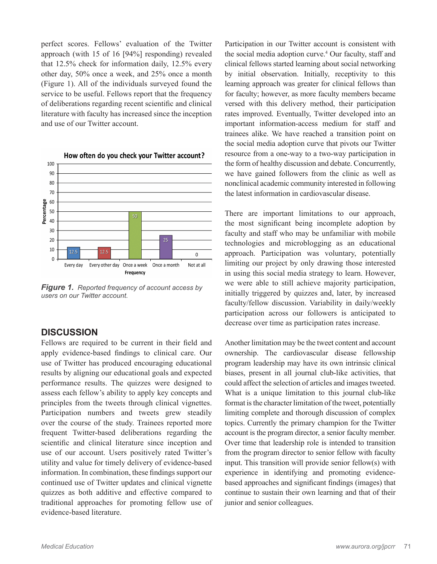perfect scores. Fellows' evaluation of the Twitter approach (with 15 of 16 [94%] responding) revealed that 12.5% check for information daily, 12.5% every other day, 50% once a week, and 25% once a month (Figure 1). All of the individuals surveyed found the service to be useful. Fellows report that the frequency of deliberations regarding recent scientific and clinical literature with faculty has increased since the inception and use of our Twitter account.



*Figure 1.**Reported frequency of account access by users on our Twitter account.*

#### **DISCUSSION**

Fellows are required to be current in their field and apply evidence-based findings to clinical care. Our use of Twitter has produced encouraging educational results by aligning our educational goals and expected performance results. The quizzes were designed to assess each fellow's ability to apply key concepts and principles from the tweets through clinical vignettes. Participation numbers and tweets grew steadily over the course of the study. Trainees reported more frequent Twitter-based deliberations regarding the scientific and clinical literature since inception and use of our account. Users positively rated Twitter's utility and value for timely delivery of evidence-based information. In combination, these findings support our continued use of Twitter updates and clinical vignette quizzes as both additive and effective compared to traditional approaches for promoting fellow use of evidence-based literature.

Participation in our Twitter account is consistent with the social media adoption curve.4 Our faculty, staff and clinical fellows started learning about social networking by initial observation. Initially, receptivity to this learning approach was greater for clinical fellows than for faculty; however, as more faculty members became versed with this delivery method, their participation rates improved. Eventually, Twitter developed into an important information-access medium for staff and trainees alike. We have reached a transition point on the social media adoption curve that pivots our Twitter resource from a one-way to a two-way participation in the form of healthy discussion and debate. Concurrently, we have gained followers from the clinic as well as nonclinical academic community interested in following the latest information in cardiovascular disease.

There are important limitations to our approach, the most significant being incomplete adoption by faculty and staff who may be unfamiliar with mobile technologies and microblogging as an educational approach. Participation was voluntary, potentially limiting our project by only drawing those interested in using this social media strategy to learn. However, we were able to still achieve majority participation, initially triggered by quizzes and, later, by increased faculty/fellow discussion. Variability in daily/weekly participation across our followers is anticipated to decrease over time as participation rates increase.

Another limitation may be the tweet content and account ownership. The cardiovascular disease fellowship program leadership may have its own intrinsic clinical biases, present in all journal club-like activities, that could affect the selection of articles and images tweeted. What is a unique limitation to this journal club-like format is the character limitation of the tweet, potentially limiting complete and thorough discussion of complex topics. Currently the primary champion for the Twitter account is the program director, a senior faculty member. Over time that leadership role is intended to transition from the program director to senior fellow with faculty input. This transition will provide senior fellow(s) with experience in identifying and promoting evidencebased approaches and significant findings (images) that continue to sustain their own learning and that of their junior and senior colleagues.